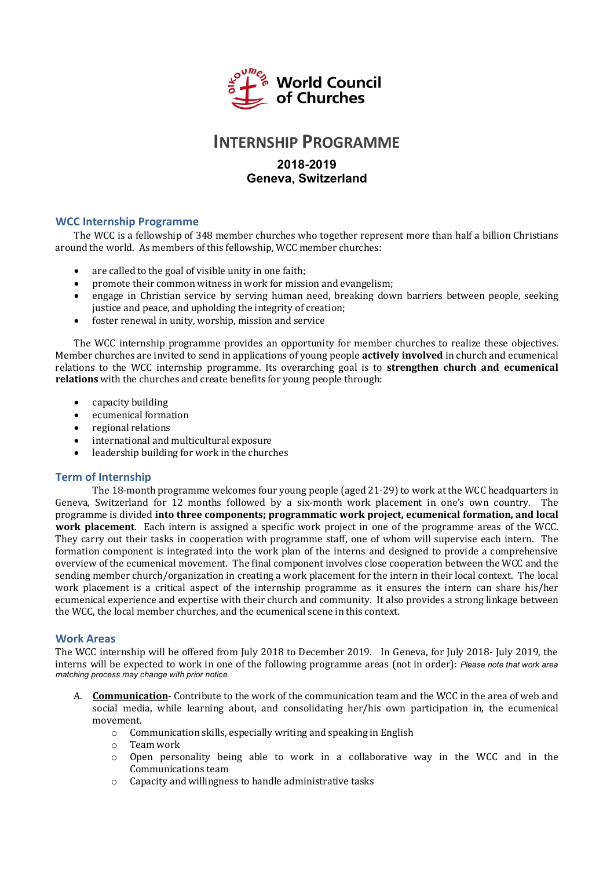

## **INTERNSHIP PROGRAMME**

### **2018-2019 Geneva, Switzerland**

#### **WCC Internship Programme**

The WCC is a fellowship of 348 member churches who together represent more than half a billion Christians around the world. As members of this fellowship, WCC member churches:

- are called to the goal of visible unity in one faith;
- promote their common witness in work for mission and evangelism;
- engage in Christian service by serving human need, breaking down barriers between people, seeking justice and peace, and upholding the integrity of creation;
- $\bullet$  foster renewal in unity, worship, mission and service

The WCC internship programme provides an opportunity for member churches to realize these objectives. Member churches are invited to send in applications of young people **actively involved** in church and ecumenical relations to the WCC internship programme. Its overarching goal is to **strengthen church and ecumenical relations** with the churches and create benefits for young people through:

- capacity building
- ecumenical formation
- regional relations
- international and multicultural exposure
- leadership building for work in the churches

#### **Term of Internship**

The 18-month programme welcomes four young people (aged 21-29) to work at the WCC headquarters in Geneva, Switzerland for 12 months followed by a six-month work placement in one's own country. The programme is divided **into three components; programmatic work project, ecumenical formation, and local work placement.** Each intern is assigned a specific work project in one of the programme areas of the WCC. They carry out their tasks in cooperation with programme staff, one of whom will supervise each intern. The formation component is integrated into the work plan of the interns and designed to provide a comprehensive overview of the ecumenical movement. The final component involves close cooperation between the WCC and the sending member church/organization in creating a work placement for the intern in their local context. The local work placement is a critical aspect of the internship programme as it ensures the intern can share his/her ecumenical experience and expertise with their church and community. It also provides a strong linkage between the WCC, the local member churches, and the ecumenical scene in this context.

#### **Work Areas**

The WCC internship will be offered from July 2018 to December 2019. In Geneva, for July 2018- July 2019, the interns will be expected to work in one of the following programme areas (not in order): *Please note that work area matching process may change with prior notice.* 

- A. **Communication** Contribute to the work of the communication team and the WCC in the area of web and social media, while learning about, and consolidating her/his own participation in, the ecumenical movement.
	- $\circ$  Communication skills, especially writing and speaking in English
	- o Team work
	- $\circ$  Open personality being able to work in a collaborative way in the WCC and in the Communications team
	- $\circ$  Capacity and willingness to handle administrative tasks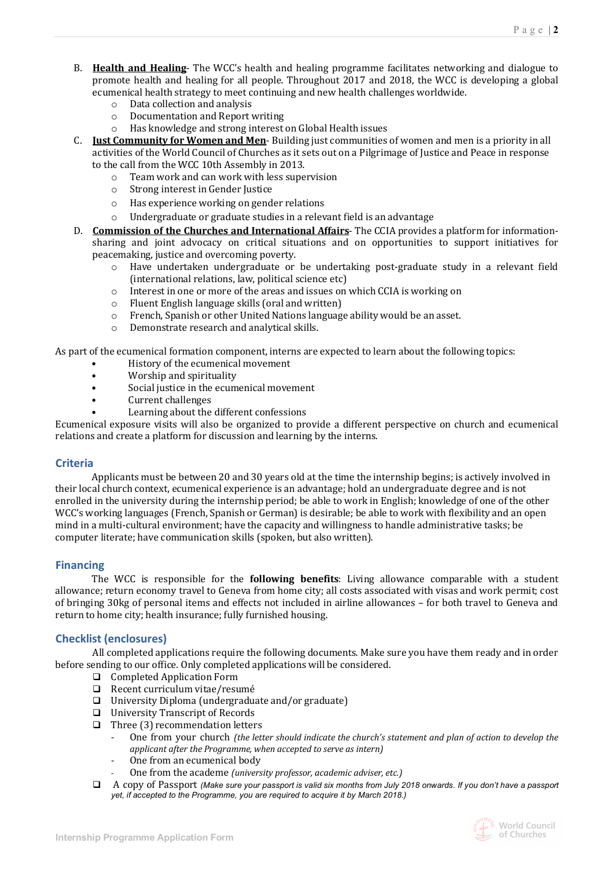- B. **Health and Healing** The WCC's health and healing programme facilitates networking and dialogue to promote health and healing for all people. Throughout 2017 and 2018, the WCC is developing a global ecumenical health strategy to meet continuing and new health challenges worldwide.
	- $\circ$  Data collection and analysis
	- o Documentation and Report writing
	- o Has knowledge and strong interest on Global Health issues
- C. **Just Community for Women and Men**-Building just communities of women and men is a priority in all activities of the World Council of Churches as it sets out on a Pilgrimage of Justice and Peace in response to the call from the WCC 10th Assembly in 2013.
	- $\circ$  Team work and can work with less supervision
	- o Strong interest in Gender Justice
	- o Has experience working on gender relations
	- o Undergraduate or graduate studies in a relevant field is an advantage
- D. **Commission of the Churches and International Affairs** The CCIA provides a platform for informationsharing and joint advocacy on critical situations and on opportunities to support initiatives for peacemaking, justice and overcoming poverty.
	- $\circ$  Have undertaken undergraduate or be undertaking post-graduate study in a relevant field  $(internal$  relations, law, political science  $etc$ )
	- $\circ$  Interest in one or more of the areas and issues on which CCIA is working on
	- $\circ$  Fluent English language skills (oral and written)
	- $\circ$  French, Spanish or other United Nations language ability would be an asset.
	- o Demonstrate research and analytical skills.

As part of the ecumenical formation component, interns are expected to learn about the following topics:

- History of the ecumenical movement
- Worship and spirituality
- Social justice in the ecumenical movement
- **Current challenges**
- Learning about the different confessions

Ecumenical exposure visits will also be organized to provide a different perspective on church and ecumenical relations and create a platform for discussion and learning by the interns.

#### **Criteria**

Applicants must be between 20 and 30 years old at the time the internship begins; is actively involved in their local church context, ecumenical experience is an advantage; hold an undergraduate degree and is not enrolled in the university during the internship period; be able to work in English; knowledge of one of the other WCC's working languages (French, Spanish or German) is desirable; be able to work with flexibility and an open mind in a multi-cultural environment; have the capacity and willingness to handle administrative tasks; be computer literate; have communication skills (spoken, but also written).

#### **Financing**

The WCC is responsible for the **following benefits**: Living allowance comparable with a student allowance; return economy travel to Geneva from home city; all costs associated with visas and work permit; cost of bringing 30kg of personal items and effects not included in airline allowances - for both travel to Geneva and return to home city; health insurance; fully furnished housing.

#### **Checklist (enclosures)**

All completed applications require the following documents. Make sure you have them ready and in order before sending to our office. Only completed applications will be considered.

- □ Completed Application Form
- $\Box$  Recent curriculum vitae/resumé
- $\Box$  University Diploma (undergraduate and/or graduate)
- □ University Transcript of Records
- $\Box$  Three (3) recommendation letters
	- One from your church *(the letter should indicate the church's statement and plan of action to develop the applicant after the Programme, when accepted to serve as intern)*
	- One from an ecumenical body
	- One from the academe *(university professor, academic adviser, etc.)*
- □ A copy of Passport *(Make sure your passport is valid six months from July 2018 onwards. If you don't have a passport yet, if accepted to the Programme, you are required to acquire it by March 2018.)*

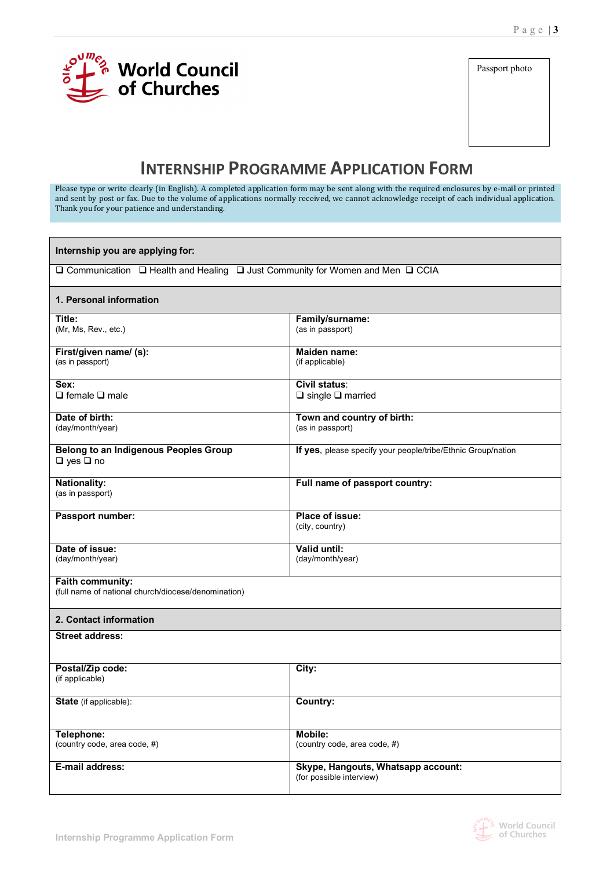

Passport photo

# **INTERNSHIP PROGRAMME APPLICATION FORM**

Please type or write clearly (in English). A completed application form may be sent along with the required enclosures by e-mail or printed and sent by post or fax. Due to the volume of applications normally received, we cannot acknowledge receipt of each individual application. Thank you for your patience and understanding.

| Internship you are applying for:                                               |                                                                |  |  |  |  |  |
|--------------------------------------------------------------------------------|----------------------------------------------------------------|--|--|--|--|--|
| □ Communication □ Health and Healing □ Just Community for Women and Men □ CCIA |                                                                |  |  |  |  |  |
| 1. Personal information                                                        |                                                                |  |  |  |  |  |
| Title:<br>(Mr, Ms, Rev., etc.)                                                 | Family/surname:<br>(as in passport)                            |  |  |  |  |  |
| First/given name/ (s):<br>(as in passport)                                     | <b>Maiden name:</b><br>(if applicable)                         |  |  |  |  |  |
| Sex:<br>$\Box$ female $\Box$ male                                              | Civil status:<br>$\Box$ single $\Box$ married                  |  |  |  |  |  |
| Date of birth:<br>(day/month/year)                                             | Town and country of birth:<br>(as in passport)                 |  |  |  |  |  |
| <b>Belong to an Indigenous Peoples Group</b><br>$\Box$ yes $\Box$ no           | If yes, please specify your people/tribe/Ethnic Group/nation   |  |  |  |  |  |
| <b>Nationality:</b><br>(as in passport)                                        | Full name of passport country:                                 |  |  |  |  |  |
| Passport number:                                                               | Place of issue:<br>(city, country)                             |  |  |  |  |  |
| Date of issue:<br>(day/month/year)                                             | Valid until:<br>(day/month/year)                               |  |  |  |  |  |
| Faith community:<br>(full name of national church/diocese/denomination)        |                                                                |  |  |  |  |  |
| 2. Contact information                                                         |                                                                |  |  |  |  |  |
| <b>Street address:</b>                                                         |                                                                |  |  |  |  |  |
| Postal/Zip code:<br>(if applicable)                                            | City:                                                          |  |  |  |  |  |
| <b>State</b> (if applicable):                                                  | Country:                                                       |  |  |  |  |  |
| Telephone:<br>(country code, area code, #)                                     | Mobile:<br>(country code, area code, #)                        |  |  |  |  |  |
| E-mail address:                                                                | Skype, Hangouts, Whatsapp account:<br>(for possible interview) |  |  |  |  |  |

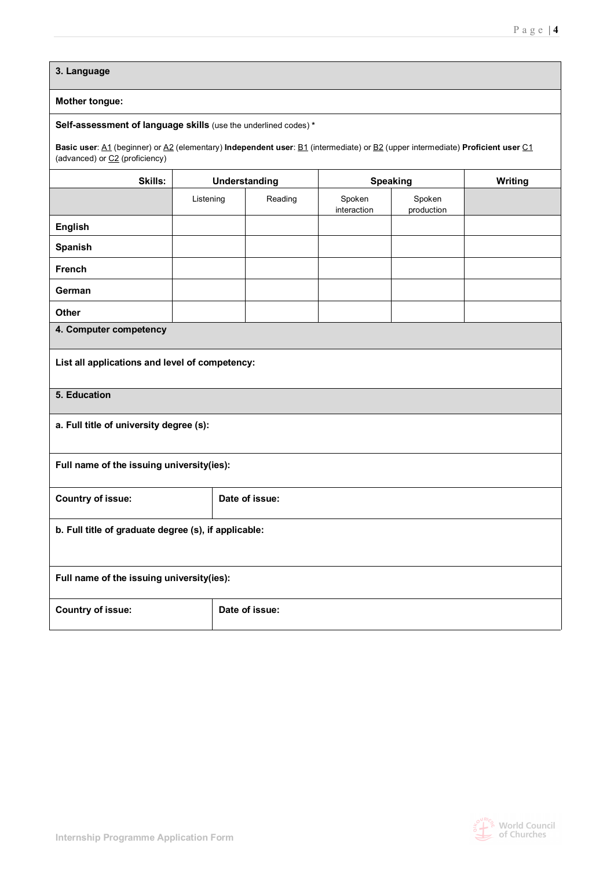**3. Language** 

#### **Mother tongue:**

#### **Self-assessment of language skills** (use the underlined codes) **\***

**Basic user**: A1 (beginner) or A2 (elementary) **Independent user**: B1 (intermediate) or B2 (upper intermediate) **Proficient user** C1 (advanced) or C2 (proficiency)

| Skills:                                              | Understanding  |                | <b>Speaking</b>       |                      | Writing |  |  |
|------------------------------------------------------|----------------|----------------|-----------------------|----------------------|---------|--|--|
|                                                      | Listening      | Reading        | Spoken<br>interaction | Spoken<br>production |         |  |  |
| <b>English</b>                                       |                |                |                       |                      |         |  |  |
| Spanish                                              |                |                |                       |                      |         |  |  |
| <b>French</b>                                        |                |                |                       |                      |         |  |  |
| German                                               |                |                |                       |                      |         |  |  |
| <b>Other</b>                                         |                |                |                       |                      |         |  |  |
| 4. Computer competency                               |                |                |                       |                      |         |  |  |
| List all applications and level of competency:       |                |                |                       |                      |         |  |  |
| 5. Education                                         |                |                |                       |                      |         |  |  |
| a. Full title of university degree (s):              |                |                |                       |                      |         |  |  |
| Full name of the issuing university(ies):            |                |                |                       |                      |         |  |  |
| <b>Country of issue:</b>                             | Date of issue: |                |                       |                      |         |  |  |
| b. Full title of graduate degree (s), if applicable: |                |                |                       |                      |         |  |  |
| Full name of the issuing university(ies):            |                |                |                       |                      |         |  |  |
| <b>Country of issue:</b>                             |                | Date of issue: |                       |                      |         |  |  |